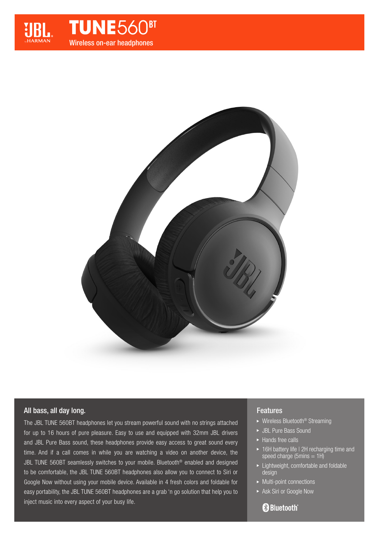

**TUNE560BT** Wireless on-ear headphones



# All bass, all day long.

The JBL TUNE 560BT headphones let you stream powerful sound with no strings attached for up to 16 hours of pure pleasure. Easy to use and equipped with 32mm JBL drivers and JBL Pure Bass sound, these headphones provide easy access to great sound every time. And if a call comes in while you are watching a video on another device, the JBL TUNE 560BT seamlessly switches to your mobile. Bluetooth® enabled and designed to be comfortable, the JBL TUNE 560BT headphones also allow you to connect to Siri or Google Now without using your mobile device. Available in 4 fresh colors and foldable for easy portability, the JBL TUNE 560BT headphones are a grab 'n go solution that help you to inject music into every aspect of your busy life.

### Features

- ▶ Wireless Bluetooth<sup>®</sup> Streaming
- ▶ JBL Pure Bass Sound
- $\blacktriangleright$  Hands free calls
- ▶ 16H battery life I 2H recharging time and speed charge (5mins  $= 1H$ )
- ► Lightweight, comfortable and foldable design
- $\blacktriangleright$  Multi-point connections
- Ask Siri or Google Now

# **83 Bluetooth**®